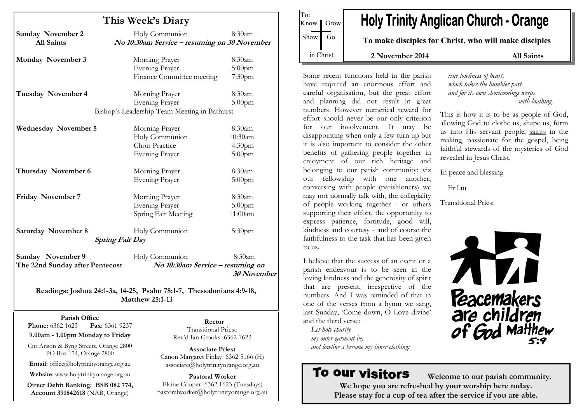|                                               | This Week's Diary                                              |                    |
|-----------------------------------------------|----------------------------------------------------------------|--------------------|
| <b>Sunday November 2</b><br><b>All Saints</b> | Holy Communion<br>No 10:30am Service - resuming on 30 November | 8:30am             |
| Monday November 3                             | Morning Prayer                                                 | 8:30am             |
|                                               | <b>Evening Prayer</b>                                          | $5:00$ pm          |
|                                               | Finance Committee meeting                                      | 7:30 <sub>pm</sub> |
| <b>Tuesday November 4</b>                     | Morning Prayer                                                 | 8:30am             |
|                                               | <b>Evening Prayer</b>                                          | $5:00$ pm          |
|                                               | Bishop's Leadership Team Meeting in Bathurst                   |                    |
| <b>Wednesday November 5</b>                   | Morning Prayer                                                 | 8:30am             |
|                                               | Holy Communion                                                 | 10:30am            |
|                                               | Choir Practice                                                 | 4:30 <sub>pm</sub> |
|                                               | <b>Evening Prayer</b>                                          | $5:00$ pm          |
| Thursday November 6                           | Morning Prayer                                                 | 8:30am             |
|                                               | <b>Evening Prayer</b>                                          | $5:00$ pm          |
| Friday November 7                             | Morning Prayer                                                 | 8:30am             |
|                                               | <b>Evening Prayer</b>                                          | $5:00$ pm          |
|                                               | Spring Fair Meeting                                            | 11:00am            |
| <b>Saturday November 8</b>                    | Holy Communion                                                 | $5:30$ pm          |
|                                               | <b>Spring Fair Day</b>                                         |                    |
| Sunday November 9                             | Holy Communion                                                 | 8:30am             |
| The 22nd Sunday after Pentecost               | No 10:30am Service - resuming on                               |                    |
|                                               |                                                                | 30 November        |

Matthew 25:1-13

Parish Office Fax: 6361 9237 **Phone:** 6362 1623

9.00am - 1.00pm Monday to Friday

Cnr Anson & Byng Streets, Orange 2800 PO Box 174, Orange 2800

Email: office@holytrinityorange.org.au

Website: www.holytrinityorange.org.au

Direct Debit Banking: BSB 082 774, Account 391842618 (NAB, Orange)

Rector Transitional Priest: Rev'd Ian Crooks 6362 1623

Associate Priest Canon Margaret Finlay 6362 5166 (H) associate@holytrinityorange.org.au

Pastoral Worker Elaine Cooper 6362 1623 (Tuesdays) pastoralworker@holytrinityorange.org.au

**Holy Trinity Anglican Church - Orange** Know | Grow  $Show$  Go To make disciples for Christ, who will make disciples in Christ 2 November 2014 All Saints

Some recent functions held in the parish have required an enormous effort and careful organisation, but the great effort and planning did not result in great numbers. However numerical reward for effort should never be our only criterion for our involvement. It may be disappointing when only a few turn up but it is also important to consider the other benefits of gathering people together in enjoyment of our rich heritage and belonging to our parish community: viz our fellowship with one another, conversing with people (parishioners) we may not normally talk with, the collegiality of people working together - or others supporting their effort, the opportunity to express patience, fortitude, good will, kindness and courtesy - and of course the faithfulness to the task that has been given to us.

To:

I believe that the success of an event or a parish endeavour is to be seen in the loving kindness and the generosity of spirit that are present, irrespective of the numbers. And I was reminded of that in one of the verses from a hymn we sang, last Sunday, 'Come down, O Love divine' and the third verse:

Let holy charity my outer garment be, and lowliness become my inner clothing:

# To our visitors

 Welcome to our parish community. We hope you are refreshed by your worship here today. Please stay for a cup of tea after the service if you are able.

true lowliness of heart, which takes the humbler part and for its own shortcomings weeps with loathing.

This is how it is to be as people of God, allowing God to clothe us, shape us, form us into His servant people, saints in the making, passionate for the gospel, being faithful stewards of the mysteries of God revealed in Jesus Christ.

In peace and blessing

Fr Ian

Transitional Priest